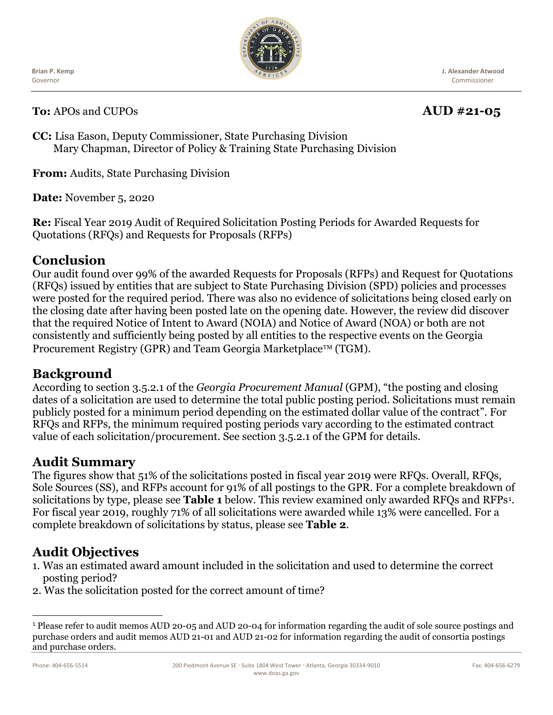**Brian P. Kemp** Governor



**J. Alexander Atwood** Commissioner

**To:** APOs and CUPOs **AUD** #21-05

**CC:** Lisa Eason, Deputy Commissioner, State Purchasing Division Mary Chapman, Director of Policy & Training State Purchasing Division

**From:** Audits, State Purchasing Division

**Date:** November 5, 2020

**Re:** Fiscal Year 2019 Audit of Required Solicitation Posting Periods for Awarded Requests for Quotations (RFQs) and Requests for Proposals (RFPs)

### **Conclusion**

Our audit found over 99% of the awarded Requests for Proposals (RFPs) and Request for Quotations (RFQs) issued by entities that are subject to State Purchasing Division (SPD) policies and processes were posted for the required period. There was also no evidence of solicitations being closed early on the closing date after having been posted late on the opening date. However, the review did discover that the required Notice of Intent to Award (NOIA) and Notice of Award (NOA) or both are not consistently and sufficiently being posted by all entities to the respective events on the Georgia Procurement Registry (GPR) and Team Georgia Marketplace<sup>TM</sup> (TGM).

## **Background**

According to section 3.5.2.1 of the *Georgia Procurement Manual* (GPM), "the posting and closing dates of a solicitation are used to determine the total public posting period. Solicitations must remain publicly posted for a minimum period depending on the estimated dollar value of the contract". For RFQs and RFPs, the minimum required posting periods vary according to the estimated contract value of each solicitation/procurement. See section 3.5.2.1 of the GPM for details.

## **Audit Summary**

The figures show that 51% of the solicitations posted in fiscal year 2019 were RFQs. Overall, RFQs, Sole Sources (SS), and RFPs account for 91% of all postings to the GPR. For a complete breakdown of solicitations by type, please see **Table 1** below. This review examined only awarded RFQs and RFPs[1.](#page-0-0) For fiscal year 2019, roughly 71% of all solicitations were awarded while 13% were cancelled. For a complete breakdown of solicitations by status, please see **Table 2**.

# **Audit Objectives**

- 1. Was an estimated award amount included in the solicitation and used to determine the correct posting period?
- 2. Was the solicitation posted for the correct amount of time?

<span id="page-0-0"></span><sup>1</sup> Please refer to audit memos AUD 20-05 and AUD 20-04 for information regarding the audit of sole source postings and purchase orders and audit memos AUD 21-01 and AUD 21-02 for information regarding the audit of consortia postings and purchase orders.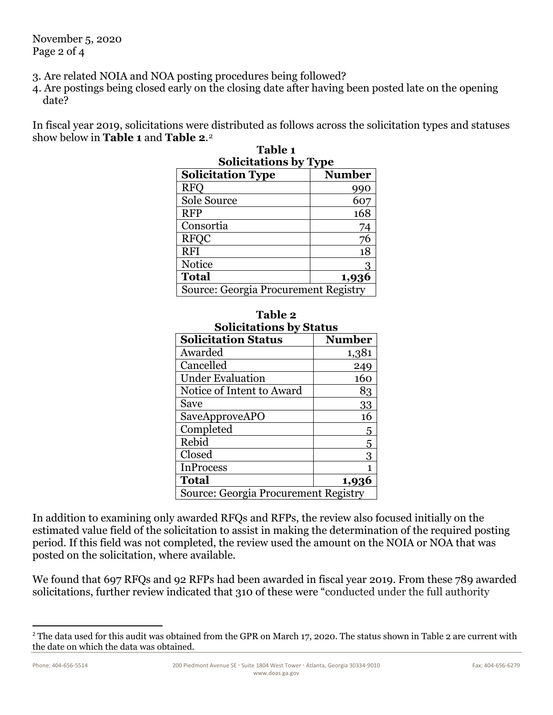November 5, 2020 Page 2 of 4

3. Are related NOIA and NOA posting procedures being followed?

4. Are postings being closed early on the closing date after having been posted late on the opening date?

In fiscal year 2019, solicitations were distributed as follows across the solicitation types and statuses show below in **Table 1** and **Table 2**.[2](#page-1-0) **Table 1**

| <b>Solicitations by Type</b>         |               |  |
|--------------------------------------|---------------|--|
| <b>Solicitation Type</b>             | <b>Number</b> |  |
| <b>RFC</b>                           | 990           |  |
| Sole Source                          | 607           |  |
| <b>RFP</b>                           | 168           |  |
| Consortia                            | 74            |  |
| <b>RFOC</b>                          | 76            |  |
| <b>RFI</b>                           | 18            |  |
| Notice                               |               |  |
| <b>Total</b>                         | 1,936         |  |
| Source: Georgia Procurement Registry |               |  |

| ponchanons by Type                          |               |  |
|---------------------------------------------|---------------|--|
| <b>Solicitation Type</b>                    | <b>Number</b> |  |
| <b>RFO</b>                                  | 990           |  |
| Sole Source                                 | 607           |  |
| <b>RFP</b>                                  | 168           |  |
| Consortia                                   | 74            |  |
| <b>RFOC</b>                                 | 76            |  |
| <b>RFI</b>                                  | 18            |  |
| <b>Notice</b>                               | 3             |  |
| <b>Total</b>                                | 1,936         |  |
| <b>Source: Georgia Procurement Registry</b> |               |  |

| <b>Table 2</b>                       |               |  |
|--------------------------------------|---------------|--|
| <b>Solicitations by Status</b>       |               |  |
| <b>Solicitation Status</b>           | <b>Number</b> |  |
| Awarded                              | 1,381         |  |
| Cancelled                            | 249           |  |
| <b>Under Evaluation</b>              | 160           |  |
| Notice of Intent to Award            | 83            |  |
| Save                                 | 33            |  |
| SaveApproveAPO                       | 16            |  |
| Completed                            | 5             |  |
| Rebid                                | 5             |  |
| Closed                               |               |  |
| <b>InProcess</b>                     | 1             |  |
| <b>Total</b>                         | 1,936         |  |
| Source: Georgia Procurement Registry |               |  |

# **Table 2**

In addition to examining only awarded RFQs and RFPs, the review also focused initially on the estimated value field of the solicitation to assist in making the determination of the required posting period. If this field was not completed, the review used the amount on the NOIA or NOA that was posted on the solicitation, where available.

We found that 697 RFQs and 92 RFPs had been awarded in fiscal year 2019. From these 789 awarded solicitations, further review indicated that 310 of these were "conducted under the full authority

<span id="page-1-0"></span><sup>&</sup>lt;sup>2</sup> The data used for this audit was obtained from the GPR on March 17, 2020. The status shown in Table 2 are current with the date on which the data was obtained.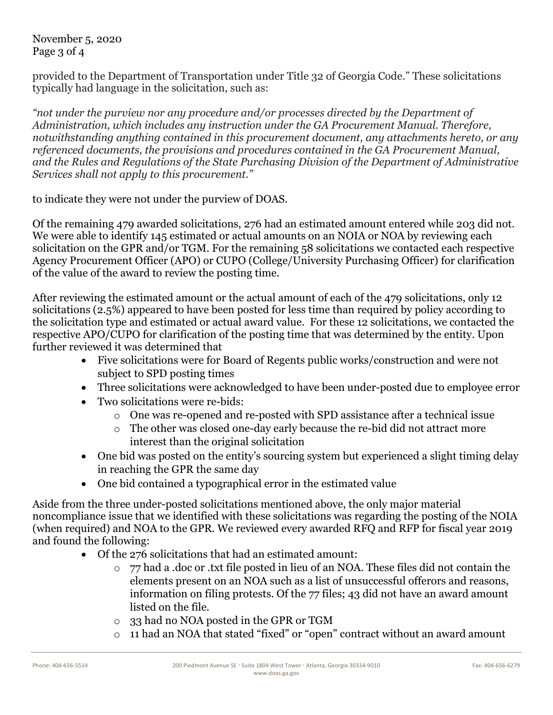November 5, 2020 Page 3 of 4

provided to the Department of Transportation under Title 32 of Georgia Code." These solicitations typically had language in the solicitation, such as:

*"not under the purview nor any procedure and/or processes directed by the Department of Administration, which includes any instruction under the GA Procurement Manual. Therefore, notwithstanding anything contained in this procurement document, any attachments hereto, or any referenced documents, the provisions and procedures contained in the GA Procurement Manual, and the Rules and Regulations of the State Purchasing Division of the Department of Administrative Services shall not apply to this procurement."*

to indicate they were not under the purview of DOAS.

Of the remaining 479 awarded solicitations, 276 had an estimated amount entered while 203 did not. We were able to identify 145 estimated or actual amounts on an NOIA or NOA by reviewing each solicitation on the GPR and/or TGM. For the remaining 58 solicitations we contacted each respective Agency Procurement Officer (APO) or CUPO (College/University Purchasing Officer) for clarification of the value of the award to review the posting time.

After reviewing the estimated amount or the actual amount of each of the 479 solicitations, only 12 solicitations (2.5%) appeared to have been posted for less time than required by policy according to the solicitation type and estimated or actual award value. For these 12 solicitations, we contacted the respective APO/CUPO for clarification of the posting time that was determined by the entity. Upon further reviewed it was determined that

- Five solicitations were for Board of Regents public works/construction and were not subject to SPD posting times
- Three solicitations were acknowledged to have been under-posted due to employee error
- Two solicitations were re-bids:
	- o One was re-opened and re-posted with SPD assistance after a technical issue
	- o The other was closed one-day early because the re-bid did not attract more interest than the original solicitation
- One bid was posted on the entity's sourcing system but experienced a slight timing delay in reaching the GPR the same day
- One bid contained a typographical error in the estimated value

Aside from the three under-posted solicitations mentioned above, the only major material noncompliance issue that we identified with these solicitations was regarding the posting of the NOIA (when required) and NOA to the GPR. We reviewed every awarded RFQ and RFP for fiscal year 2019 and found the following:

- Of the 276 solicitations that had an estimated amount:
	- o 77 had a .doc or .txt file posted in lieu of an NOA. These files did not contain the elements present on an NOA such as a list of unsuccessful offerors and reasons, information on filing protests. Of the 77 files; 43 did not have an award amount listed on the file.
	- o 33 had no NOA posted in the GPR or TGM
	- o 11 had an NOA that stated "fixed" or "open" contract without an award amount